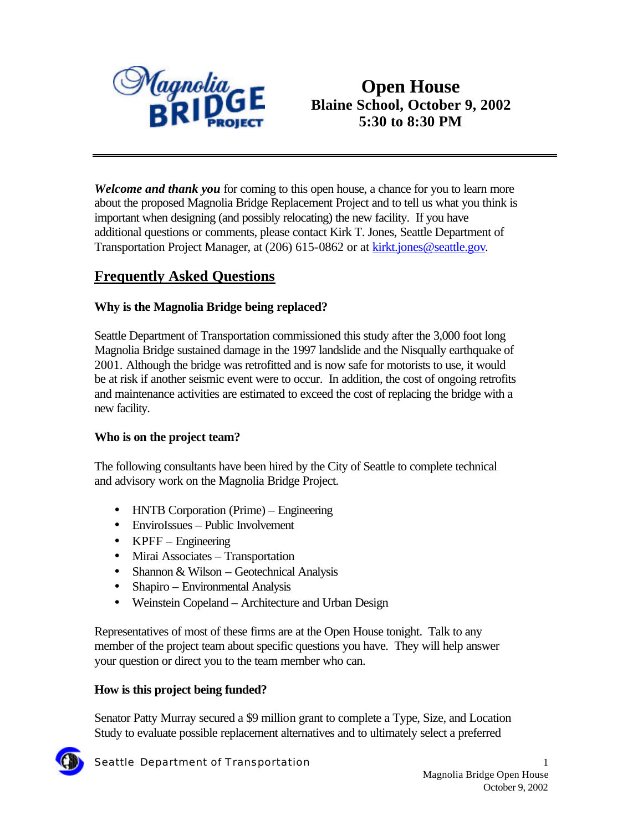

*Welcome and thank you* for coming to this open house, a chance for you to learn more about the proposed Magnolia Bridge Replacement Project and to tell us what you think is important when designing (and possibly relocating) the new facility. If you have additional questions or comments, please contact Kirk T. Jones, Seattle Department of Transportation Project Manager, at (206) 615-0862 or at **kirkt.jones@seattle.gov**.

# **Frequently Asked Questions**

# **Why is the Magnolia Bridge being replaced?**

Seattle Department of Transportation commissioned this study after the 3,000 foot long Magnolia Bridge sustained damage in the 1997 landslide and the Nisqually earthquake of 2001. Although the bridge was retrofitted and is now safe for motorists to use, it would be at risk if another seismic event were to occur. In addition, the cost of ongoing retrofits and maintenance activities are estimated to exceed the cost of replacing the bridge with a new facility.

## **Who is on the project team?**

The following consultants have been hired by the City of Seattle to complete technical and advisory work on the Magnolia Bridge Project.

- HNTB Corporation (Prime) Engineering
- EnviroIssues Public Involvement
- KPFF Engineering
- Mirai Associates Transportation
- Shannon & Wilson Geotechnical Analysis
- Shapiro Environmental Analysis
- Weinstein Copeland Architecture and Urban Design

Representatives of most of these firms are at the Open House tonight. Talk to any member of the project team about specific questions you have. They will help answer your question or direct you to the team member who can.

## **How is this project being funded?**

Senator Patty Murray secured a \$9 million grant to complete a Type, Size, and Location Study to evaluate possible replacement alternatives and to ultimately select a preferred

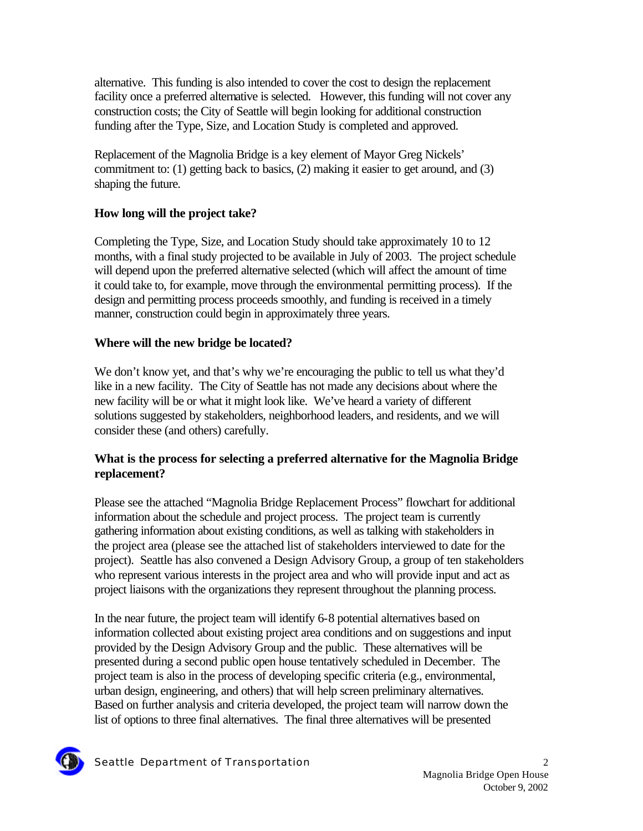alternative. This funding is also intended to cover the cost to design the replacement facility once a preferred alternative is selected. However, this funding will not cover any construction costs; the City of Seattle will begin looking for additional construction funding after the Type, Size, and Location Study is completed and approved.

Replacement of the Magnolia Bridge is a key element of Mayor Greg Nickels' commitment to: (1) getting back to basics, (2) making it easier to get around, and (3) shaping the future.

# **How long will the project take?**

Completing the Type, Size, and Location Study should take approximately 10 to 12 months, with a final study projected to be available in July of 2003. The project schedule will depend upon the preferred alternative selected (which will affect the amount of time it could take to, for example, move through the environmental permitting process). If the design and permitting process proceeds smoothly, and funding is received in a timely manner, construction could begin in approximately three years.

# **Where will the new bridge be located?**

We don't know yet, and that's why we're encouraging the public to tell us what they'd like in a new facility. The City of Seattle has not made any decisions about where the new facility will be or what it might look like. We've heard a variety of different solutions suggested by stakeholders, neighborhood leaders, and residents, and we will consider these (and others) carefully.

# **What is the process for selecting a preferred alternative for the Magnolia Bridge replacement?**

Please see the attached "Magnolia Bridge Replacement Process" flowchart for additional information about the schedule and project process. The project team is currently gathering information about existing conditions, as well as talking with stakeholders in the project area (please see the attached list of stakeholders interviewed to date for the project). Seattle has also convened a Design Advisory Group, a group of ten stakeholders who represent various interests in the project area and who will provide input and act as project liaisons with the organizations they represent throughout the planning process.

In the near future, the project team will identify 6-8 potential alternatives based on information collected about existing project area conditions and on suggestions and input provided by the Design Advisory Group and the public. These alternatives will be presented during a second public open house tentatively scheduled in December. The project team is also in the process of developing specific criteria (e.g., environmental, urban design, engineering, and others) that will help screen preliminary alternatives. Based on further analysis and criteria developed, the project team will narrow down the list of options to three final alternatives. The final three alternatives will be presented

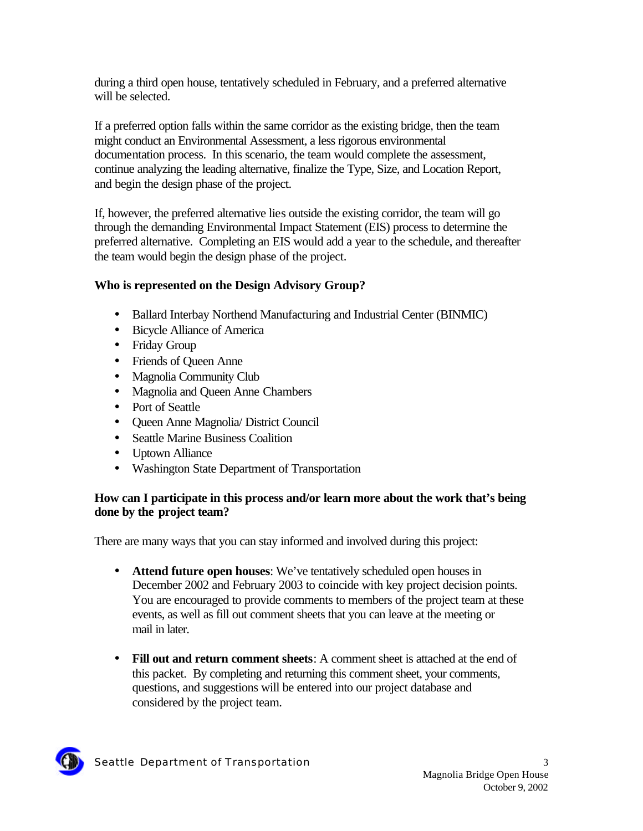during a third open house, tentatively scheduled in February, and a preferred alternative will be selected.

If a preferred option falls within the same corridor as the existing bridge, then the team might conduct an Environmental Assessment, a less rigorous environmental documentation process. In this scenario, the team would complete the assessment, continue analyzing the leading alternative, finalize the Type, Size, and Location Report, and begin the design phase of the project.

If, however, the preferred alternative lies outside the existing corridor, the team will go through the demanding Environmental Impact Statement (EIS) process to determine the preferred alternative. Completing an EIS would add a year to the schedule, and thereafter the team would begin the design phase of the project.

# **Who is represented on the Design Advisory Group?**

- Ballard Interbay Northend Manufacturing and Industrial Center (BINMIC)
- Bicycle Alliance of America
- Friday Group
- Friends of Queen Anne
- Magnolia Community Club
- Magnolia and Queen Anne Chambers
- Port of Seattle
- Queen Anne Magnolia/ District Council
- Seattle Marine Business Coalition
- Uptown Alliance
- Washington State Department of Transportation

## **How can I participate in this process and/or learn more about the work that's being done by the project team?**

There are many ways that you can stay informed and involved during this project:

- **Attend future open houses**: We've tentatively scheduled open houses in December 2002 and February 2003 to coincide with key project decision points. You are encouraged to provide comments to members of the project team at these events, as well as fill out comment sheets that you can leave at the meeting or mail in later.
- **Fill out and return comment sheets**: A comment sheet is attached at the end of this packet. By completing and returning this comment sheet, your comments, questions, and suggestions will be entered into our project database and considered by the project team.